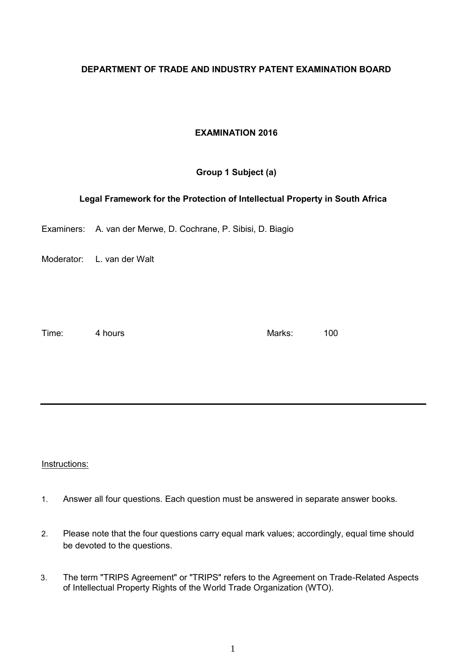## **DEPARTMENT OF TRADE AND INDUSTRY PATENT EXAMINATION BOARD**

## **EXAMINATION 2016**

# **Group 1 Subject (a)**

### **Legal Framework for the Protection of Intellectual Property in South Africa**

Examiners: A. van der Merwe, D. Cochrane, P. Sibisi, D. Biagio

Moderator: L. van der Walt

Time: 4 hours and 4 hours and 4 hours and 4 hours and 4 hours and 4 hours and 4 hours and 4 hours and 4 hours and 4 hours and 4 hours and 4 hours and 4 hours and 4 hours and 4 hours and 4 hours and 4 hours and 4 hours and

Instructions:

- 1. Answer all four questions. Each question must be answered in separate answer books.
- 2. Please note that the four questions carry equal mark values; accordingly, equal time should be devoted to the questions.
- 3. The term "TRIPS Agreement" or "TRIPS" refers to the Agreement on Trade-Related Aspects of Intellectual Property Rights of the World Trade Organization (WTO).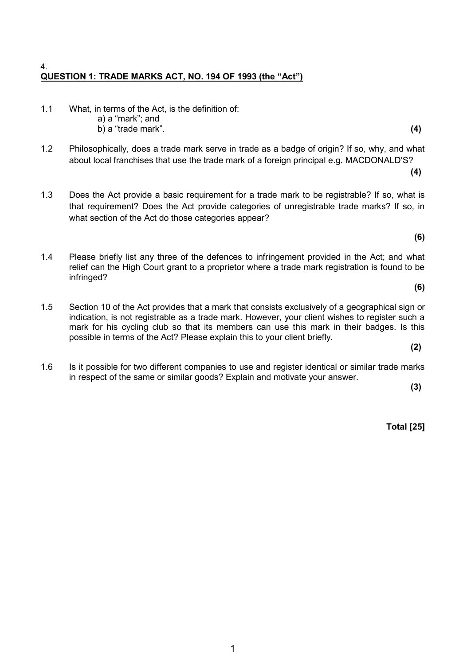#### 4. **QUESTION 1: TRADE MARKS ACT, NO. 194 OF 1993 (the "Act")**

- 1.1 What, in terms of the Act, is the definition of:
	- a) a "mark"; and b) a "trade mark". **(4)**
- 1.2 Philosophically, does a trade mark serve in trade as a badge of origin? If so, why, and what about local franchises that use the trade mark of a foreign principal e.g. MACDONALD'S?
- 1.3 Does the Act provide a basic requirement for a trade mark to be registrable? If so, what is that requirement? Does the Act provide categories of unregistrable trade marks? If so, in what section of the Act do those categories appear?

**(6)**

**(4)**

- 1.4 Please briefly list any three of the defences to infringement provided in the Act; and what relief can the High Court grant to a proprietor where a trade mark registration is found to be infringed?
	- **(6)**
- 1.5 Section 10 of the Act provides that a mark that consists exclusively of a geographical sign or indication, is not registrable as a trade mark. However, your client wishes to register such a mark for his cycling club so that its members can use this mark in their badges. Is this possible in terms of the Act? Please explain this to your client briefly.

**(2)**

1.6 Is it possible for two different companies to use and register identical or similar trade marks in respect of the same or similar goods? Explain and motivate your answer.

**(3)**

**Total [25]**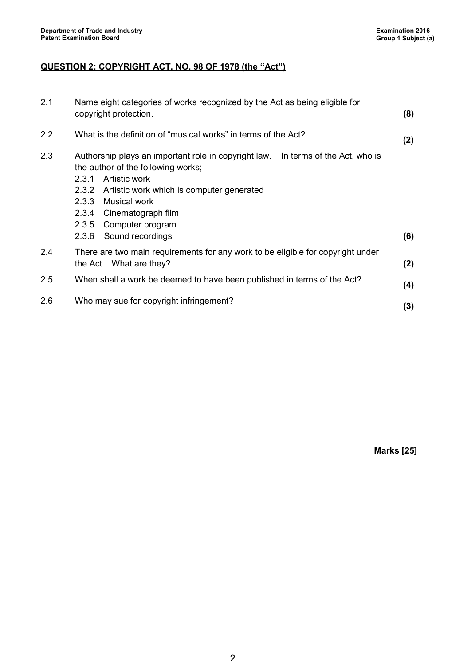# **QUESTION 2: COPYRIGHT ACT, NO. 98 OF 1978 (the "Act")**

| 2.1 | Name eight categories of works recognized by the Act as being eligible for<br>(8)<br>copyright protection.                                                                                                                                                                                                                      |     |  |
|-----|---------------------------------------------------------------------------------------------------------------------------------------------------------------------------------------------------------------------------------------------------------------------------------------------------------------------------------|-----|--|
| 2.2 | What is the definition of "musical works" in terms of the Act?                                                                                                                                                                                                                                                                  |     |  |
| 2.3 | Authorship plays an important role in copyright law.<br>In terms of the Act, who is<br>the author of the following works;<br>2.3.1<br>Artistic work<br>2.3.2 Artistic work which is computer generated<br><b>Musical work</b><br>2.3.3<br>2.3.4<br>Cinematograph film<br>2.3.5<br>Computer program<br>Sound recordings<br>2.3.6 | (6) |  |
| 2.4 | There are two main requirements for any work to be eligible for copyright under<br>the Act. What are they?<br>(2)                                                                                                                                                                                                               |     |  |
| 2.5 | When shall a work be deemed to have been published in terms of the Act?                                                                                                                                                                                                                                                         |     |  |
| 2.6 | Who may sue for copyright infringement?<br>(3)                                                                                                                                                                                                                                                                                  |     |  |

**Marks [25]**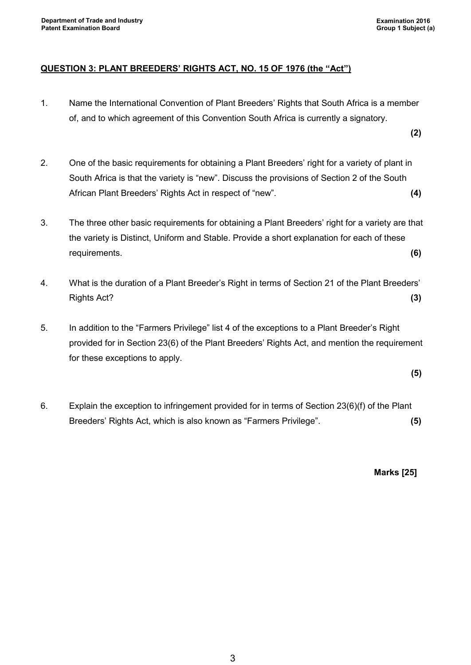## **QUESTION 3: PLANT BREEDERS' RIGHTS ACT, NO. 15 OF 1976 (the "Act")**

1. Name the International Convention of Plant Breeders' Rights that South Africa is a member of, and to which agreement of this Convention South Africa is currently a signatory.

**(2)**

- 2. One of the basic requirements for obtaining a Plant Breeders' right for a variety of plant in South Africa is that the variety is "new". Discuss the provisions of Section 2 of the South African Plant Breeders' Rights Act in respect of "new". **(4)**
- 3. The three other basic requirements for obtaining a Plant Breeders' right for a variety are that the variety is Distinct, Uniform and Stable. Provide a short explanation for each of these requirements. **(6)**
- 4. What is the duration of a Plant Breeder's Right in terms of Section 21 of the Plant Breeders' Rights Act? **(3)**
- 5. In addition to the "Farmers Privilege" list 4 of the exceptions to a Plant Breeder's Right provided for in Section 23(6) of the Plant Breeders' Rights Act, and mention the requirement for these exceptions to apply.

**(5)**

6. Explain the exception to infringement provided for in terms of Section 23(6)(f) of the Plant Breeders' Rights Act, which is also known as "Farmers Privilege". **(5)**

**Marks [25]**